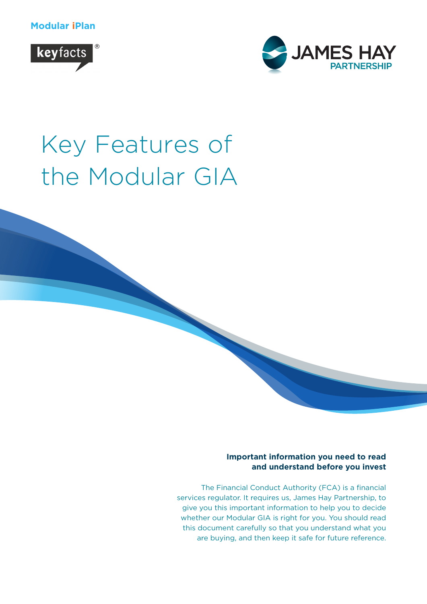**Modular iPlan**





# Key Features of the Modular GIA

#### **Important information you need to read and understand before you invest**

The Financial Conduct Authority (FCA) is a financial services regulator. It requires us, James Hay Partnership, to give you this important information to help you to decide whether our Modular GIA is right for you. You should read this document carefully so that you understand what you are buying, and then keep it safe for future reference.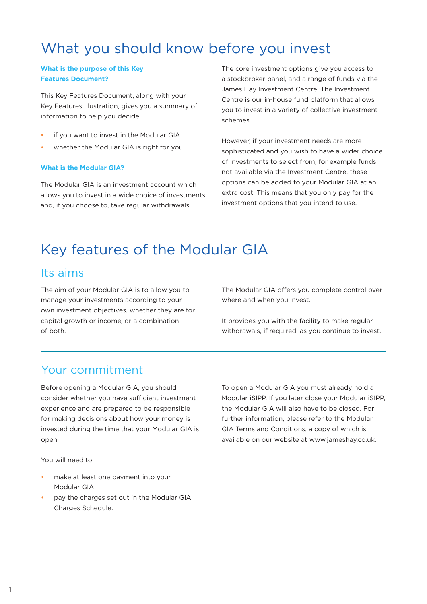# What you should know before you invest

#### **What is the purpose of this Key Features Document?**

This Key Features Document, along with your Key Features Illustration, gives you a summary of information to help you decide:

- if you want to invest in the Modular GIA
- whether the Modular GIA is right for you.

#### **What is the Modular GIA?**

The Modular GIA is an investment account which allows you to invest in a wide choice of investments and, if you choose to, take regular withdrawals.

The core investment options give you access to a stockbroker panel, and a range of funds via the James Hay Investment Centre. The Investment Centre is our in-house fund platform that allows you to invest in a variety of collective investment schemes.

However, if your investment needs are more sophisticated and you wish to have a wider choice of investments to select from, for example funds not available via the Investment Centre, these options can be added to your Modular GIA at an extra cost. This means that you only pay for the investment options that you intend to use.

# Key features of the Modular GIA

## Its aims

The aim of your Modular GIA is to allow you to manage your investments according to your own investment objectives, whether they are for capital growth or income, or a combination of both.

The Modular GIA offers you complete control over where and when you invest.

It provides you with the facility to make regular withdrawals, if required, as you continue to invest.

# Your commitment

Before opening a Modular GIA, you should consider whether you have sufficient investment experience and are prepared to be responsible for making decisions about how your money is invested during the time that your Modular GIA is open.

You will need to:

- make at least one payment into your Modular GIA
- pay the charges set out in the Modular GIA Charges Schedule.

To open a Modular GIA you must already hold a Modular iSIPP. If you later close your Modular iSIPP, the Modular GIA will also have to be closed. For further information, please refer to the Modular GIA Terms and Conditions, a copy of which is available on our website at www.jameshay.co.uk.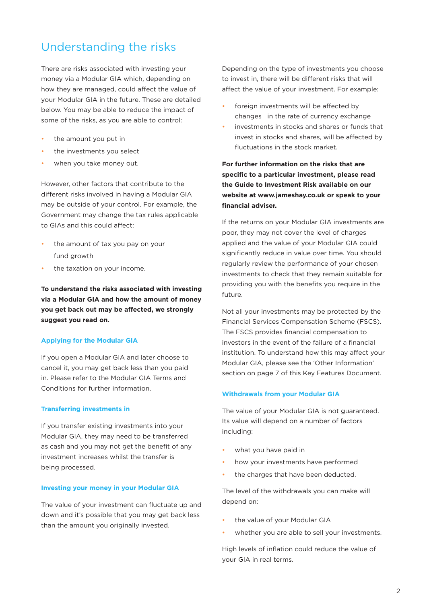# Understanding the risks

There are risks associated with investing your money via a Modular GIA which, depending on how they are managed, could affect the value of your Modular GIA in the future. These are detailed below. You may be able to reduce the impact of some of the risks, as you are able to control:

- the amount you put in
- the investments you select
- when you take money out.

However, other factors that contribute to the different risks involved in having a Modular GIA may be outside of your control. For example, the Government may change the tax rules applicable to GIAs and this could affect:

- the amount of tax you pay on your fund growth
- the taxation on your income.

**To understand the risks associated with investing via a Modular GIA and how the amount of money you get back out may be affected, we strongly suggest you read on.**

#### **Applying for the Modular GIA**

If you open a Modular GIA and later choose to cancel it, you may get back less than you paid in. Please refer to the Modular GIA Terms and Conditions for further information.

#### **Transferring investments in**

If you transfer existing investments into your Modular GIA, they may need to be transferred as cash and you may not get the benefit of any investment increases whilst the transfer is being processed.

#### **Investing your money in your Modular GIA**

The value of your investment can fluctuate up and down and it's possible that you may get back less than the amount you originally invested.

Depending on the type of investments you choose to invest in, there will be different risks that will affect the value of your investment. For example:

- foreign investments will be affected by changes in the rate of currency exchange
- investments in stocks and shares or funds that invest in stocks and shares, will be affected by fluctuations in the stock market.

**For further information on the risks that are specific to a particular investment, please read the Guide to Investment Risk available on our website at www.jameshay.co.uk or speak to your financial adviser.**

If the returns on your Modular GIA investments are poor, they may not cover the level of charges applied and the value of your Modular GIA could significantly reduce in value over time. You should regularly review the performance of your chosen investments to check that they remain suitable for providing you with the benefits you require in the future.

Not all your investments may be protected by the Financial Services Compensation Scheme (FSCS). The FSCS provides financial compensation to investors in the event of the failure of a financial institution. To understand how this may affect your Modular GIA, please see the 'Other Information' section on page 7 of this Key Features Document.

#### **Withdrawals from your Modular GIA**

The value of your Modular GIA is not guaranteed. Its value will depend on a number of factors including:

- what you have paid in
- how your investments have performed
- the charges that have been deducted.

The level of the withdrawals you can make will depend on:

- the value of your Modular GIA
- whether you are able to sell your investments.

High levels of inflation could reduce the value of your GIA in real terms.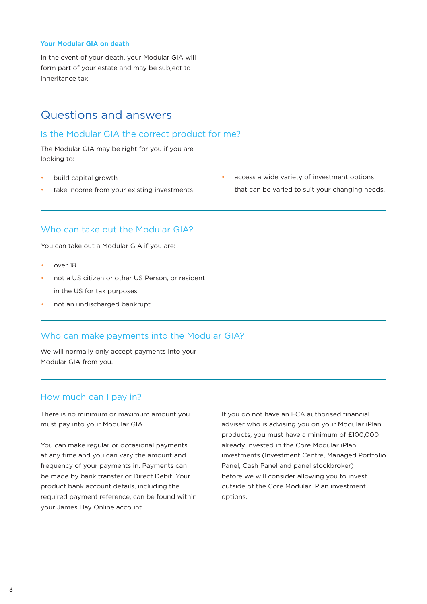#### **Your Modular GIA on death**

In the event of your death, your Modular GIA will form part of your estate and may be subject to inheritance tax.

### Questions and answers

#### Is the Modular GIA the correct product for me?

The Modular GIA may be right for you if you are looking to:

- build capital growth
- take income from your existing investments
- access a wide variety of investment options that can be varied to suit your changing needs.

#### Who can take out the Modular GIA?

You can take out a Modular GIA if you are:

- over 18
- not a US citizen or other US Person, or resident in the US for tax purposes
- not an undischarged bankrupt.

#### Who can make payments into the Modular GIA?

We will normally only accept payments into your Modular GIA from you.

#### How much can I pay in?

There is no minimum or maximum amount you must pay into your Modular GIA.

You can make regular or occasional payments at any time and you can vary the amount and frequency of your payments in. Payments can be made by bank transfer or Direct Debit. Your product bank account details, including the required payment reference, can be found within your James Hay Online account.

If you do not have an FCA authorised financial adviser who is advising you on your Modular iPlan products, you must have a minimum of £100,000 already invested in the Core Modular iPlan investments (Investment Centre, Managed Portfolio Panel, Cash Panel and panel stockbroker) before we will consider allowing you to invest outside of the Core Modular iPlan investment options.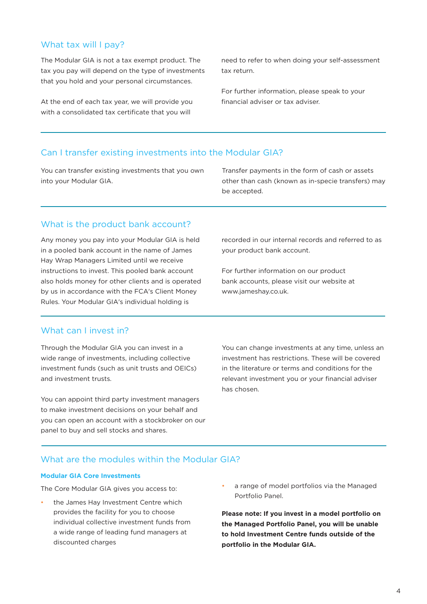#### What tax will I pay?

The Modular GIA is not a tax exempt product. The tax you pay will depend on the type of investments that you hold and your personal circumstances.

At the end of each tax year, we will provide you with a consolidated tax certificate that you will

need to refer to when doing your self-assessment tax return.

For further information, please speak to your financial adviser or tax adviser.

#### Can I transfer existing investments into the Modular GIA?

You can transfer existing investments that you own into your Modular GIA.

Transfer payments in the form of cash or assets other than cash (known as in-specie transfers) may be accepted.

#### What is the product bank account?

Any money you pay into your Modular GIA is held in a pooled bank account in the name of James Hay Wrap Managers Limited until we receive instructions to invest. This pooled bank account also holds money for other clients and is operated by us in accordance with the FCA's Client Money Rules. Your Modular GIA's individual holding is

#### What can I invest in?

Through the Modular GIA you can invest in a wide range of investments, including collective investment funds (such as unit trusts and OEICs) and investment trusts.

You can appoint third party investment managers to make investment decisions on your behalf and you can open an account with a stockbroker on our panel to buy and sell stocks and shares.

recorded in our internal records and referred to as your product bank account.

For further information on our product bank accounts, please visit our website at www.jameshay.co.uk.

You can change investments at any time, unless an investment has restrictions. These will be covered in the literature or terms and conditions for the relevant investment you or your financial adviser has chosen.

#### What are the modules within the Modular GIA?

#### **Modular GIA Core Investments**

The Core Modular GIA gives you access to:

- the James Hay Investment Centre which provides the facility for you to choose individual collective investment funds from a wide range of leading fund managers at discounted charges
- a range of model portfolios via the Managed Portfolio Panel.

**Please note: If you invest in a model portfolio on the Managed Portfolio Panel, you will be unable to hold Investment Centre funds outside of the portfolio in the Modular GIA.**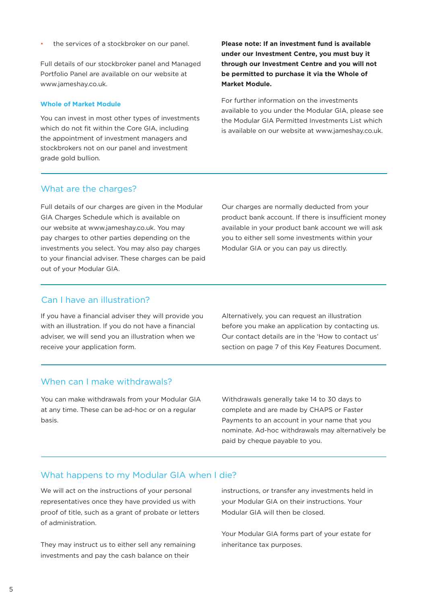the services of a stockbroker on our panel.

Full details of our stockbroker panel and Managed Portfolio Panel are available on our website at www.jameshay.co.uk.

#### **Whole of Market Module**

You can invest in most other types of investments which do not fit within the Core GIA, including the appointment of investment managers and stockbrokers not on our panel and investment grade gold bullion.

**Please note: If an investment fund is available under our Investment Centre, you must buy it through our Investment Centre and you will not be permitted to purchase it via the Whole of Market Module.**

For further information on the investments available to you under the Modular GIA, please see the Modular GIA Permitted Investments List which is available on our website at www.jameshay.co.uk.

#### What are the charges?

Full details of our charges are given in the Modular GIA Charges Schedule which is available on our website at www.jameshay.co.uk. You may pay charges to other parties depending on the investments you select. You may also pay charges to your financial adviser. These charges can be paid out of your Modular GIA.

Our charges are normally deducted from your product bank account. If there is insufficient money available in your product bank account we will ask you to either sell some investments within your Modular GIA or you can pay us directly.

#### Can I have an illustration?

If you have a financial adviser they will provide you with an illustration. If you do not have a financial adviser, we will send you an illustration when we receive your application form.

Alternatively, you can request an illustration before you make an application by contacting us. Our contact details are in the 'How to contact us' section on page 7 of this Key Features Document.

#### When can I make withdrawals?

You can make withdrawals from your Modular GIA at any time. These can be ad-hoc or on a regular basis.

Withdrawals generally take 14 to 30 days to complete and are made by CHAPS or Faster Payments to an account in your name that you nominate. Ad-hoc withdrawals may alternatively be paid by cheque payable to you.

#### What happens to my Modular GIA when I die?

We will act on the instructions of your personal representatives once they have provided us with proof of title, such as a grant of probate or letters of administration.

They may instruct us to either sell any remaining investments and pay the cash balance on their

instructions, or transfer any investments held in your Modular GIA on their instructions. Your Modular GIA will then be closed.

Your Modular GIA forms part of your estate for inheritance tax purposes.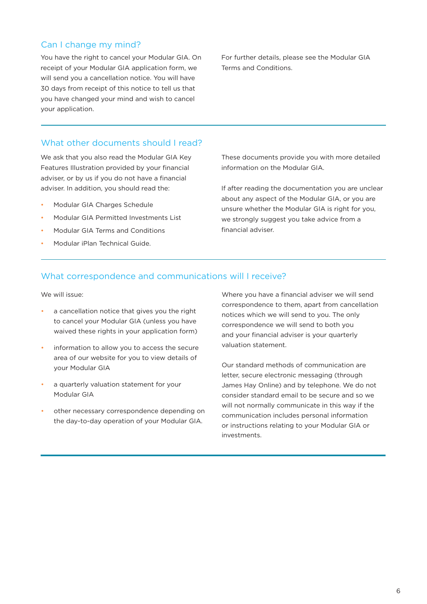#### Can I change my mind?

You have the right to cancel your Modular GIA. On receipt of your Modular GIA application form, we will send you a cancellation notice. You will have 30 days from receipt of this notice to tell us that you have changed your mind and wish to cancel your application.

For further details, please see the Modular GIA Terms and Conditions.

#### What other documents should I read?

We ask that you also read the Modular GIA Key Features Illustration provided by your financial adviser, or by us if you do not have a financial adviser. In addition, you should read the:

- Modular GIA Charges Schedule
- Modular GIA Permitted Investments List
- Modular GIA Terms and Conditions
- Modular iPlan Technical Guide.

These documents provide you with more detailed information on the Modular GIA.

If after reading the documentation you are unclear about any aspect of the Modular GIA, or you are unsure whether the Modular GIA is right for you, we strongly suggest you take advice from a financial adviser.

#### What correspondence and communications will I receive?

We will issue:

- a cancellation notice that gives you the right to cancel your Modular GIA (unless you have waived these rights in your application form)
- information to allow you to access the secure area of our website for you to view details of your Modular GIA
- a quarterly valuation statement for your Modular GIA
- other necessary correspondence depending on the day-to-day operation of your Modular GIA.

Where you have a financial adviser we will send correspondence to them, apart from cancellation notices which we will send to you. The only correspondence we will send to both you and your financial adviser is your quarterly valuation statement.

Our standard methods of communication are letter, secure electronic messaging (through James Hay Online) and by telephone. We do not consider standard email to be secure and so we will not normally communicate in this way if the communication includes personal information or instructions relating to your Modular GIA or investments.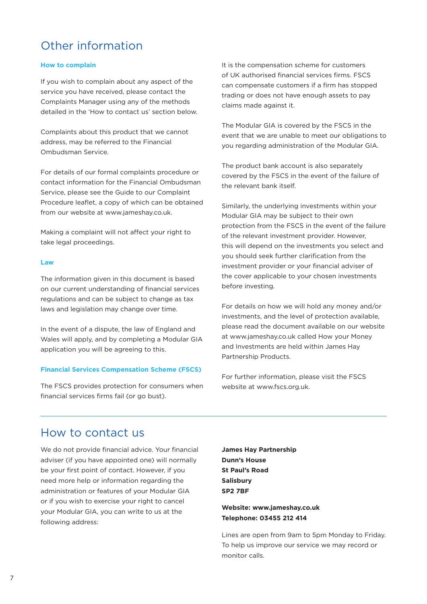# Other information

#### **How to complain**

If you wish to complain about any aspect of the service you have received, please contact the Complaints Manager using any of the methods detailed in the 'How to contact us' section below.

Complaints about this product that we cannot address, may be referred to the Financial Ombudsman Service.

For details of our formal complaints procedure or contact information for the Financial Ombudsman Service, please see the Guide to our Complaint Procedure leaflet, a copy of which can be obtained from our website at www.jameshay.co.uk.

Making a complaint will not affect your right to take legal proceedings.

#### **Law**

The information given in this document is based on our current understanding of financial services regulations and can be subject to change as tax laws and legislation may change over time.

In the event of a dispute, the law of England and Wales will apply, and by completing a Modular GIA application you will be agreeing to this.

#### **Financial Services Compensation Scheme (FSCS)**

The FSCS provides protection for consumers when financial services firms fail (or go bust).

It is the compensation scheme for customers of UK authorised financial services firms. FSCS can compensate customers if a firm has stopped trading or does not have enough assets to pay claims made against it.

The Modular GIA is covered by the FSCS in the event that we are unable to meet our obligations to you regarding administration of the Modular GIA.

The product bank account is also separately covered by the FSCS in the event of the failure of the relevant bank itself.

Similarly, the underlying investments within your Modular GIA may be subject to their own protection from the FSCS in the event of the failure of the relevant investment provider. However, this will depend on the investments you select and you should seek further clarification from the investment provider or your financial adviser of the cover applicable to your chosen investments before investing.

For details on how we will hold any money and/or investments, and the level of protection available, please read the document available on our website at www.jameshay.co.uk called How your Money and Investments are held within James Hay Partnership Products.

For further information, please visit the FSCS website at www.fscs.org.uk.

### How to contact us

We do not provide financial advice. Your financial adviser (if you have appointed one) will normally be your first point of contact. However, if you need more help or information regarding the administration or features of your Modular GIA or if you wish to exercise your right to cancel your Modular GIA, you can write to us at the following address:

**James Hay Partnership Dunn's House St Paul's Road Salisbury SP2 7BF**

**Website: www.jameshay.co.uk Telephone: 03455 212 414**

Lines are open from 9am to 5pm Monday to Friday. To help us improve our service we may record or monitor calls.